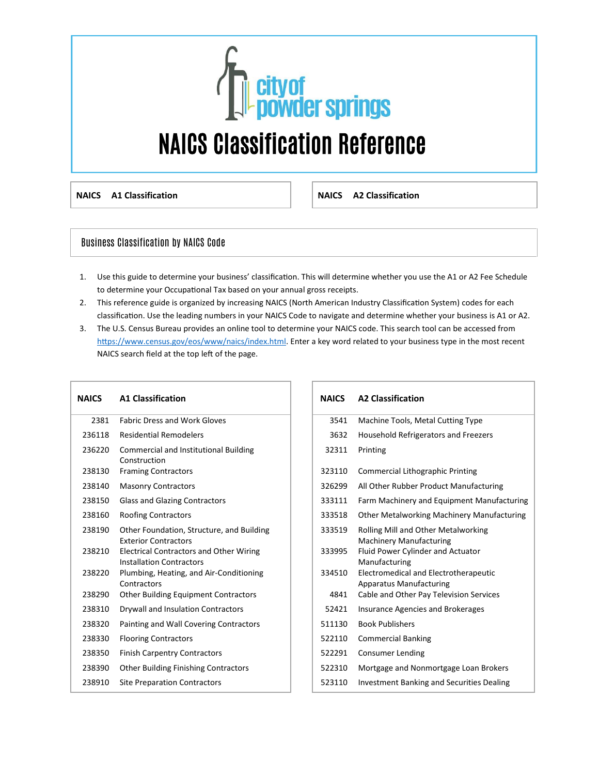

**NAICS A1 Classification NAICS A2 Classification** 

### Business Classification by NAICS Code

- 1. Use this guide to determine your business' classification. This will determine whether you use the A1 or A2 Fee Schedule to determine your Occupational Tax based on your annual gross receipts.
- 2. This reference guide is organized by increasing NAICS (North American Industry Classification System) codes for each classification. Use the leading numbers in your NAICS Code to navigate and determine whether your business is A1 or A2.
- 3. The U.S. Census Bureau provides an online tool to determine your NAICS code. This search tool can be accessed from [https://www.census.gov/eos/www/naics/index.html.](https://www.census.gov/eos/www/naics/index.html) Enter a key word related to your business type in the most recent NAICS search field at the top left of the page.

| <b>NAICS</b> | <b>A1 Classification</b>                                                          | <b>NAICS</b> | <b>A2 Classification</b>                                                |
|--------------|-----------------------------------------------------------------------------------|--------------|-------------------------------------------------------------------------|
| 2381         | <b>Fabric Dress and Work Gloves</b>                                               | 3541         | Machine Tools, Metal Cutting Type                                       |
| 236118       | <b>Residential Remodelers</b>                                                     | 3632         | Household Refrigerators and Freezers                                    |
| 236220       | Commercial and Institutional Building<br>Construction                             | 32311        | Printing                                                                |
| 238130       | <b>Framing Contractors</b>                                                        | 323110       | <b>Commercial Lithographic Printing</b>                                 |
| 238140       | <b>Masonry Contractors</b>                                                        | 326299       | All Other Rubber Product Manufacturing                                  |
| 238150       | <b>Glass and Glazing Contractors</b>                                              | 333111       | Farm Machinery and Equipment Manufactu                                  |
| 238160       | <b>Roofing Contractors</b>                                                        | 333518       | <b>Other Metalworking Machinery Manufactu</b>                           |
| 238190       | Other Foundation, Structure, and Building<br><b>Exterior Contractors</b>          | 333519       | Rolling Mill and Other Metalworking<br><b>Machinery Manufacturing</b>   |
| 238210       | <b>Electrical Contractors and Other Wiring</b><br><b>Installation Contractors</b> | 333995       | Fluid Power Cylinder and Actuator<br>Manufacturing                      |
| 238220       | Plumbing, Heating, and Air-Conditioning<br>Contractors                            | 334510       | Electromedical and Electrotherapeutic<br><b>Apparatus Manufacturing</b> |
| 238290       | <b>Other Building Equipment Contractors</b>                                       | 4841         | Cable and Other Pay Television Services                                 |
| 238310       | Drywall and Insulation Contractors                                                | 52421        | Insurance Agencies and Brokerages                                       |
| 238320       | Painting and Wall Covering Contractors                                            | 511130       | <b>Book Publishers</b>                                                  |
| 238330       | <b>Flooring Contractors</b>                                                       | 522110       | <b>Commercial Banking</b>                                               |
| 238350       | <b>Finish Carpentry Contractors</b>                                               | 522291       | <b>Consumer Lending</b>                                                 |
| 238390       | <b>Other Building Finishing Contractors</b>                                       | 522310       | Mortgage and Nonmortgage Loan Brokers                                   |
| 238910       | <b>Site Preparation Contractors</b>                                               | 523110       | <b>Investment Banking and Securities Dealing</b>                        |
|              |                                                                                   |              |                                                                         |

| <b>AICS</b> | <b>A1 Classification</b>                                                          | <b>NAICS</b> | <b>A2 Classification</b>                                                |
|-------------|-----------------------------------------------------------------------------------|--------------|-------------------------------------------------------------------------|
| 2381        | <b>Fabric Dress and Work Gloves</b>                                               | 3541         | Machine Tools, Metal Cutting Type                                       |
| 236118      | <b>Residential Remodelers</b>                                                     | 3632         | Household Refrigerators and Freezers                                    |
| 236220      | <b>Commercial and Institutional Building</b><br>Construction                      | 32311        | Printing                                                                |
| 238130      | <b>Framing Contractors</b>                                                        | 323110       | <b>Commercial Lithographic Printing</b>                                 |
| 238140      | <b>Masonry Contractors</b>                                                        | 326299       | All Other Rubber Product Manufacturing                                  |
| 238150      | <b>Glass and Glazing Contractors</b>                                              | 333111       | Farm Machinery and Equipment Manufacturing                              |
| 238160      | <b>Roofing Contractors</b>                                                        | 333518       | Other Metalworking Machinery Manufacturing                              |
| 238190      | Other Foundation, Structure, and Building<br><b>Exterior Contractors</b>          | 333519       | Rolling Mill and Other Metalworking<br><b>Machinery Manufacturing</b>   |
| 238210      | <b>Electrical Contractors and Other Wiring</b><br><b>Installation Contractors</b> | 333995       | Fluid Power Cylinder and Actuator<br>Manufacturing                      |
| 238220      | Plumbing, Heating, and Air-Conditioning<br>Contractors                            | 334510       | Electromedical and Electrotherapeutic<br><b>Apparatus Manufacturing</b> |
| 238290      | <b>Other Building Equipment Contractors</b>                                       | 4841         | Cable and Other Pay Television Services                                 |
| 238310      | Drywall and Insulation Contractors                                                | 52421        | Insurance Agencies and Brokerages                                       |
| 238320      | Painting and Wall Covering Contractors                                            | 511130       | <b>Book Publishers</b>                                                  |
| 238330      | <b>Flooring Contractors</b>                                                       | 522110       | <b>Commercial Banking</b>                                               |
| 238350      | <b>Finish Carpentry Contractors</b>                                               | 522291       | <b>Consumer Lending</b>                                                 |
| 238390      | <b>Other Building Finishing Contractors</b>                                       | 522310       | Mortgage and Nonmortgage Loan Brokers                                   |
| 238910      | <b>Site Preparation Contractors</b>                                               | 523110       | <b>Investment Banking and Securities Dealing</b>                        |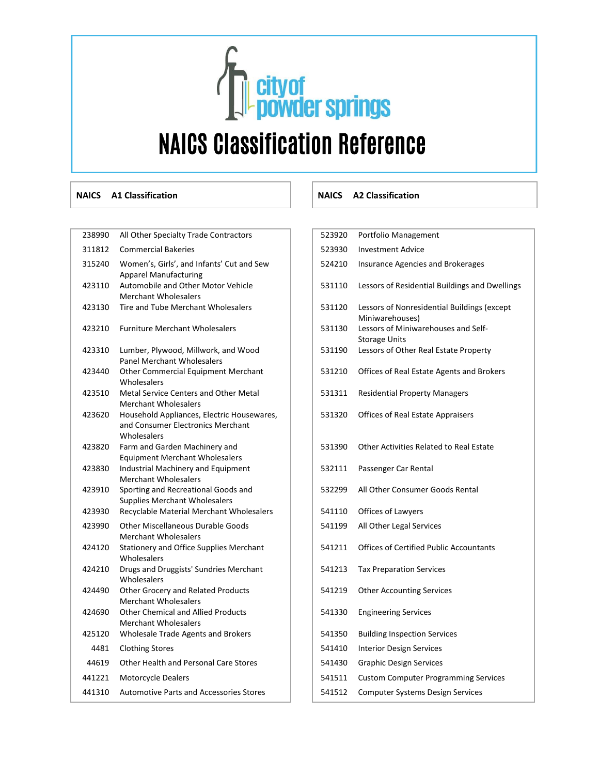# **Cityof<br>Contract Springs** NAICS Classification Reference

| 238990 | All Other Specialty Trade Contractors                                                          | 523920 | Portfolio Management                                           |
|--------|------------------------------------------------------------------------------------------------|--------|----------------------------------------------------------------|
| 311812 | <b>Commercial Bakeries</b>                                                                     | 523930 | <b>Investment Advice</b>                                       |
| 315240 | Women's, Girls', and Infants' Cut and Sew<br><b>Apparel Manufacturing</b>                      | 524210 | Insurance Agencies and Brokerages                              |
| 423110 | Automobile and Other Motor Vehicle<br><b>Merchant Wholesalers</b>                              | 531110 | Lessors of Residential Buildings and Dwellin                   |
| 423130 | Tire and Tube Merchant Wholesalers                                                             | 531120 | Lessors of Nonresidential Buildings (except<br>Miniwarehouses) |
| 423210 | <b>Furniture Merchant Wholesalers</b>                                                          | 531130 | Lessors of Miniwarehouses and Self-<br><b>Storage Units</b>    |
| 423310 | Lumber, Plywood, Millwork, and Wood<br><b>Panel Merchant Wholesalers</b>                       | 531190 | Lessors of Other Real Estate Property                          |
| 423440 | <b>Other Commercial Equipment Merchant</b><br>Wholesalers                                      | 531210 | Offices of Real Estate Agents and Brokers                      |
| 423510 | Metal Service Centers and Other Metal<br><b>Merchant Wholesalers</b>                           | 531311 | <b>Residential Property Managers</b>                           |
| 423620 | Household Appliances, Electric Housewares,<br>and Consumer Electronics Merchant<br>Wholesalers | 531320 | Offices of Real Estate Appraisers                              |
| 423820 | Farm and Garden Machinery and<br><b>Equipment Merchant Wholesalers</b>                         | 531390 | Other Activities Related to Real Estate                        |
| 423830 | Industrial Machinery and Equipment<br><b>Merchant Wholesalers</b>                              | 532111 | Passenger Car Rental                                           |
| 423910 | Sporting and Recreational Goods and<br><b>Supplies Merchant Wholesalers</b>                    | 532299 | All Other Consumer Goods Rental                                |
| 423930 | Recyclable Material Merchant Wholesalers                                                       | 541110 | Offices of Lawyers                                             |
| 423990 | <b>Other Miscellaneous Durable Goods</b><br><b>Merchant Wholesalers</b>                        | 541199 | All Other Legal Services                                       |
| 424120 | <b>Stationery and Office Supplies Merchant</b><br>Wholesalers                                  | 541211 | <b>Offices of Certified Public Accountants</b>                 |
| 424210 | Drugs and Druggists' Sundries Merchant<br>Wholesalers                                          | 541213 | <b>Tax Preparation Services</b>                                |
| 424490 | Other Grocery and Related Products<br><b>Merchant Wholesalers</b>                              | 541219 | <b>Other Accounting Services</b>                               |
| 424690 | <b>Other Chemical and Allied Products</b><br><b>Merchant Wholesalers</b>                       | 541330 | <b>Engineering Services</b>                                    |
| 425120 | Wholesale Trade Agents and Brokers                                                             | 541350 | <b>Building Inspection Services</b>                            |
| 4481   | <b>Clothing Stores</b>                                                                         | 541410 | <b>Interior Design Services</b>                                |
| 44619  | Other Health and Personal Care Stores                                                          | 541430 | <b>Graphic Design Services</b>                                 |
| 441221 | Motorcycle Dealers                                                                             | 541511 | <b>Custom Computer Programming Services</b>                    |
| 441310 | <b>Automotive Parts and Accessories Stores</b>                                                 | 541512 | <b>Computer Systems Design Services</b>                        |

### **NAICS A1 Classification NAICS A2 Classification**

| 523920 | Portfolio Management                                           |
|--------|----------------------------------------------------------------|
| 523930 | <b>Investment Advice</b>                                       |
| 524210 | <b>Insurance Agencies and Brokerages</b>                       |
| 531110 | Lessors of Residential Buildings and Dwellings                 |
| 531120 | Lessors of Nonresidential Buildings (except<br>Miniwarehouses) |
| 531130 | Lessors of Miniwarehouses and Self-                            |
| 531190 | <b>Storage Units</b><br>Lessors of Other Real Estate Property  |
| 531210 | Offices of Real Estate Agents and Brokers                      |
| 531311 | <b>Residential Property Managers</b>                           |
| 531320 | <b>Offices of Real Estate Appraisers</b>                       |
|        |                                                                |
| 531390 | Other Activities Related to Real Estate                        |
| 532111 | Passenger Car Rental                                           |
| 532299 | All Other Consumer Goods Rental                                |
| 541110 | Offices of Lawyers                                             |
| 541199 | All Other Legal Services                                       |
| 541211 | <b>Offices of Certified Public Accountants</b>                 |
| 541213 | <b>Tax Preparation Services</b>                                |
| 541219 | <b>Other Accounting Services</b>                               |
| 541330 | <b>Engineering Services</b>                                    |
| 541350 | <b>Building Inspection Services</b>                            |
| 541410 | <b>Interior Design Services</b>                                |
| 541430 | Graphic Design Services                                        |
| 541511 | <b>Custom Computer Programming Services</b>                    |
| 541512 | Computer Systems Design Services                               |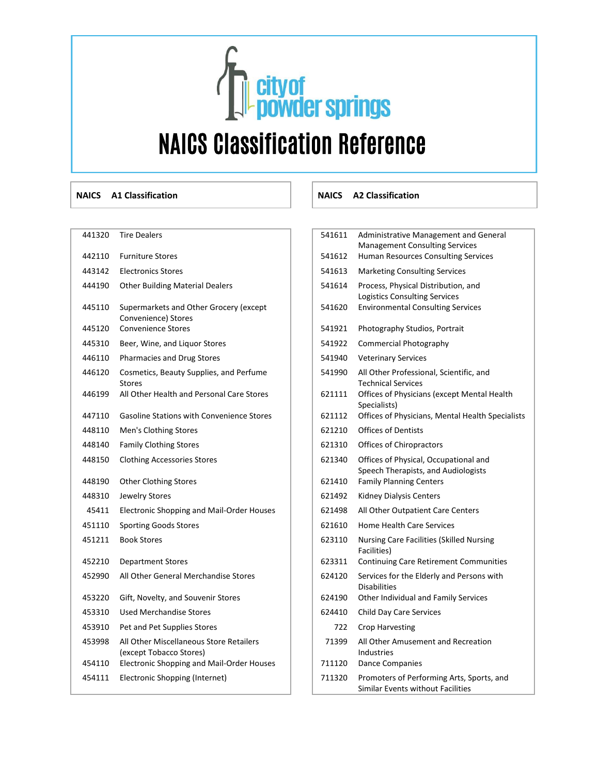## **The State of Service Springs** NAICS Classification Reference

| 441320 | <b>Tire Dealers</b>                                                | 541611 | Administrative Management and General<br><b>Management Consulting Services</b>              |
|--------|--------------------------------------------------------------------|--------|---------------------------------------------------------------------------------------------|
| 442110 | <b>Furniture Stores</b>                                            | 541612 | Human Resources Consulting Services                                                         |
| 443142 | <b>Electronics Stores</b>                                          | 541613 | <b>Marketing Consulting Services</b>                                                        |
| 444190 | <b>Other Building Material Dealers</b>                             | 541614 | Process, Physical Distribution, and<br><b>Logistics Consulting Services</b>                 |
| 445110 | Supermarkets and Other Grocery (except<br>Convenience) Stores      | 541620 | <b>Environmental Consulting Services</b>                                                    |
| 445120 | <b>Convenience Stores</b>                                          | 541921 | Photography Studios, Portrait                                                               |
| 445310 | Beer, Wine, and Liquor Stores                                      | 541922 | <b>Commercial Photography</b>                                                               |
| 446110 | Pharmacies and Drug Stores                                         | 541940 | <b>Veterinary Services</b>                                                                  |
| 446120 | Cosmetics, Beauty Supplies, and Perfume<br><b>Stores</b>           | 541990 | All Other Professional, Scientific, and<br><b>Technical Services</b>                        |
| 446199 | All Other Health and Personal Care Stores                          | 621111 | Offices of Physicians (except Mental Healt<br>Specialists)                                  |
| 447110 | <b>Gasoline Stations with Convenience Stores</b>                   | 621112 | Offices of Physicians, Mental Health Specia                                                 |
| 448110 | Men's Clothing Stores                                              | 621210 | <b>Offices of Dentists</b>                                                                  |
| 448140 | <b>Family Clothing Stores</b>                                      | 621310 | Offices of Chiropractors                                                                    |
| 448150 | <b>Clothing Accessories Stores</b>                                 | 621340 | Offices of Physical, Occupational and<br>Speech Therapists, and Audiologists                |
| 448190 | <b>Other Clothing Stores</b>                                       | 621410 | <b>Family Planning Centers</b>                                                              |
| 448310 | Jewelry Stores                                                     | 621492 | Kidney Dialysis Centers                                                                     |
| 45411  | Electronic Shopping and Mail-Order Houses                          | 621498 | All Other Outpatient Care Centers                                                           |
| 451110 | <b>Sporting Goods Stores</b>                                       | 621610 | Home Health Care Services                                                                   |
| 451211 | <b>Book Stores</b>                                                 | 623110 | Nursing Care Facilities (Skilled Nursing<br>Facilities)                                     |
| 452210 | <b>Department Stores</b>                                           | 623311 | <b>Continuing Care Retirement Communities</b>                                               |
| 452990 | All Other General Merchandise Stores                               | 624120 | Services for the Elderly and Persons with<br><b>Disabilities</b>                            |
| 453220 | Gift, Novelty, and Souvenir Stores                                 | 624190 | Other Individual and Family Services                                                        |
| 453310 | <b>Used Merchandise Stores</b>                                     | 624410 | Child Day Care Services                                                                     |
| 453910 | Pet and Pet Supplies Stores                                        | 722    | <b>Crop Harvesting</b>                                                                      |
| 453998 | All Other Miscellaneous Store Retailers<br>(except Tobacco Stores) | 71399  | All Other Amusement and Recreation<br><b>Industries</b>                                     |
| 454110 | Electronic Shopping and Mail-Order Houses                          | 711120 | <b>Dance Companies</b>                                                                      |
| 454111 | Electronic Shopping (Internet)                                     | 711320 | Promoters of Performing Arts, Sports, and<br>Chartless Experience Million in Expelliation ( |

### **NAICS A1 Classification NAICS A2 Classification**

| 441320 | <b>Tire Dealers</b>                                                | 541611 | Administrative Management and General<br><b>Management Consulting Services</b> |
|--------|--------------------------------------------------------------------|--------|--------------------------------------------------------------------------------|
| 442110 | <b>Furniture Stores</b>                                            | 541612 | Human Resources Consulting Services                                            |
| 443142 | <b>Electronics Stores</b>                                          | 541613 | <b>Marketing Consulting Services</b>                                           |
| 444190 | <b>Other Building Material Dealers</b>                             | 541614 | Process, Physical Distribution, and<br><b>Logistics Consulting Services</b>    |
| 445110 | Supermarkets and Other Grocery (except<br>Convenience) Stores      | 541620 | <b>Environmental Consulting Services</b>                                       |
| 445120 | <b>Convenience Stores</b>                                          | 541921 | Photography Studios, Portrait                                                  |
| 445310 | Beer, Wine, and Liquor Stores                                      | 541922 | Commercial Photography                                                         |
| 446110 | <b>Pharmacies and Drug Stores</b>                                  | 541940 | <b>Veterinary Services</b>                                                     |
| 446120 | Cosmetics, Beauty Supplies, and Perfume<br><b>Stores</b>           | 541990 | All Other Professional, Scientific, and<br><b>Technical Services</b>           |
| 446199 | All Other Health and Personal Care Stores                          | 621111 | Offices of Physicians (except Mental Health<br>Specialists)                    |
| 447110 | <b>Gasoline Stations with Convenience Stores</b>                   | 621112 | Offices of Physicians, Mental Health Specialists                               |
| 448110 | Men's Clothing Stores                                              | 621210 | <b>Offices of Dentists</b>                                                     |
| 448140 | <b>Family Clothing Stores</b>                                      | 621310 | Offices of Chiropractors                                                       |
| 448150 | <b>Clothing Accessories Stores</b>                                 | 621340 | Offices of Physical, Occupational and<br>Speech Therapists, and Audiologists   |
| 448190 | <b>Other Clothing Stores</b>                                       | 621410 | <b>Family Planning Centers</b>                                                 |
| 448310 | Jewelry Stores                                                     | 621492 | Kidney Dialysis Centers                                                        |
| 45411  | <b>Electronic Shopping and Mail-Order Houses</b>                   | 621498 | All Other Outpatient Care Centers                                              |
| 451110 | <b>Sporting Goods Stores</b>                                       | 621610 | <b>Home Health Care Services</b>                                               |
| 451211 | <b>Book Stores</b>                                                 | 623110 | Nursing Care Facilities (Skilled Nursing<br>Facilities)                        |
| 452210 | <b>Department Stores</b>                                           | 623311 | <b>Continuing Care Retirement Communities</b>                                  |
| 452990 | All Other General Merchandise Stores                               | 624120 | Services for the Elderly and Persons with<br><b>Disabilities</b>               |
| 453220 | Gift, Novelty, and Souvenir Stores                                 | 624190 | Other Individual and Family Services                                           |
| 453310 | Used Merchandise Stores                                            | 624410 | Child Day Care Services                                                        |
| 453910 | Pet and Pet Supplies Stores                                        | 722    | <b>Crop Harvesting</b>                                                         |
| 453998 | All Other Miscellaneous Store Retailers<br>(except Tobacco Stores) | 71399  | All Other Amusement and Recreation<br>Industries                               |
| 454110 | Electronic Shopping and Mail-Order Houses                          | 711120 | <b>Dance Companies</b>                                                         |
| 454111 | Electronic Shopping (Internet)                                     | 711320 | Promoters of Performing Arts, Sports, and<br>Similar Events without Facilities |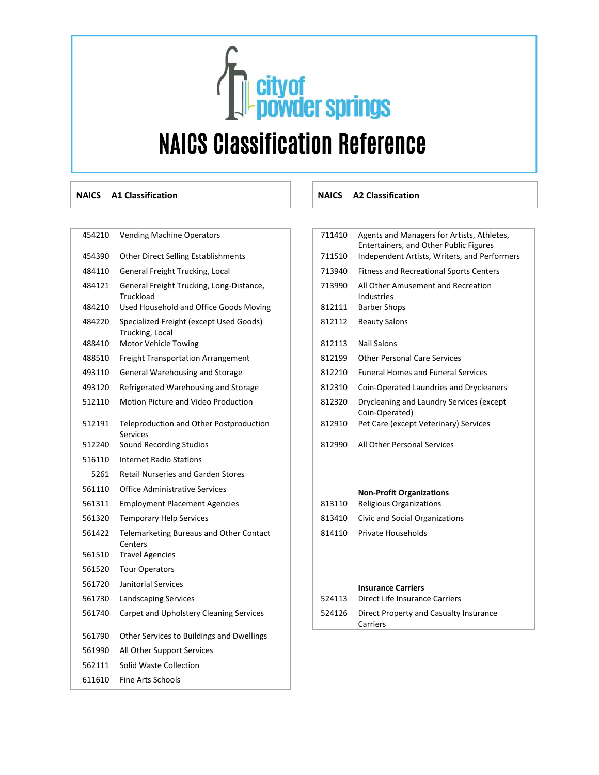## **Cityof<br>Contract Springs** NAICS Classification Reference

### **NAICS A1 Classification NAICS A2 Classification**

| 454210 | <b>venung ividenine Operators</b>                                 |
|--------|-------------------------------------------------------------------|
| 454390 | Other Direct Selling Establishments                               |
| 484110 | General Freight Trucking, Local                                   |
| 484121 | General Freight Trucking, Long-Distance,<br>Truckload             |
| 484210 | Used Household and Office Goods Moving                            |
| 484220 | Specialized Freight (except Used Goods)<br>Trucking, Local        |
| 488410 | Motor Vehicle Towing                                              |
| 488510 | <b>Freight Transportation Arrangement</b>                         |
| 493110 | <b>General Warehousing and Storage</b>                            |
| 493120 | Refrigerated Warehousing and Storage                              |
| 512110 | <b>Motion Picture and Video Production</b>                        |
| 512191 | <b>Teleproduction and Other Postproduction</b><br><b>Services</b> |
| 512240 | Sound Recording Studios                                           |
| 516110 | <b>Internet Radio Stations</b>                                    |
| 5261   | <b>Retail Nurseries and Garden Stores</b>                         |
| 561110 | <b>Office Administrative Services</b>                             |
| 561311 | <b>Employment Placement Agencies</b>                              |
| 561320 | <b>Temporary Help Services</b>                                    |
| 561422 | <b>Telemarketing Bureaus and Other Contact</b><br>Centers         |
| 561510 | <b>Travel Agencies</b>                                            |
| 561520 | <b>Tour Operators</b>                                             |
| 561720 | Janitorial Services                                               |
| 561730 | Landscaping Services                                              |
| 561740 | Carpet and Upholstery Cleaning Services                           |
| 561790 | Other Services to Buildings and Dwellings                         |
| 561990 | All Other Support Services                                        |
| 562111 | Solid Waste Collection                                            |
| 611610 | <b>Fine Arts Schools</b>                                          |

### 454210 Vending Machine Operators **711410** Agents and Managers for Artists, Athletes, Entertainers, and Other Public Figures 711510 Independent Artists, Writers, and Performers 713940 Fitness and Recreational Sports Centers 713990 All Other Amusement and Recreation Industries 812111 Barber Shops 812112 Beauty Salons 812113 Nail Salons 812199 Other Personal Care Services 812210 Funeral Homes and Funeral Services 812310 Coin-Operated Laundries and Drycleaners 812320 Drycleaning and Laundry Services (except Coin-Operated) 812910 Pet Care (except Veterinary) Services 812990 All Other Personal Services <sup>561110</sup> Office Administrative Services **Non-Profit Organizations**  813110 Religious Organizations 813410 Civic and Social Organizations 814110 Private Households **Insurance Carriers** 524113 Direct Life Insurance Carriers 524126 Direct Property and Casualty Insurance

Carriers